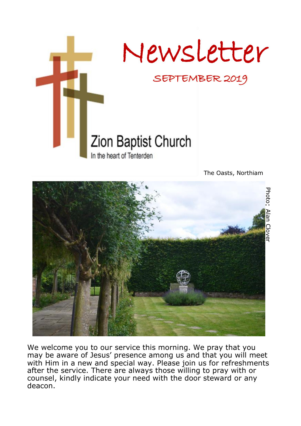

The Oasts, Northiam



We welcome you to our service this morning. We pray that you may be aware of Jesus' presence among us and that you will meet with Him in a new and special way. Please join us for refreshments after the service. There are always those willing to pray with or counsel, kindly indicate your need with the door steward or any deacon.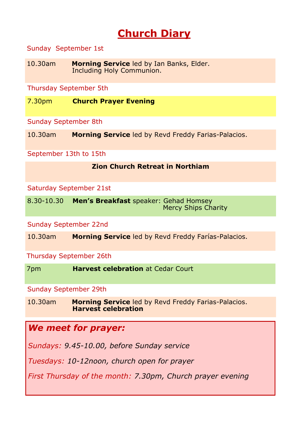# **Church Diary**

#### Sunday September 1st

10.30am **Morning Service** led by Ian Banks, Elder. Including Holy Communion.

Thursday September 5th

7.30pm **Church Prayer Evening**

Sunday September 8th

10.30am **Morning Service** led by Revd Freddy Farias-Palacios.

September 13th to 15th

#### **Zion Church Retreat in Northiam**

Saturday September 21st

8.30-10.30 **Men's Breakfast** speaker: Gehad Homsey Mercy Ships Charity

Sunday September 22nd

10.30am **Morning Service** led by Revd Freddy Farías-Palacios.

Thursday September 26th

7pm **Harvest celebration** at Cedar Court

Sunday September 29th

10.30am **Morning Service** led by Revd Freddy Farias-Palacios. **Harvest celebration**

### *We meet for prayer:*

*Sundays: 9.45-10.00, before Sunday service*

*Tuesdays: 10-12noon, church open for prayer*

*First Thursday of the month: 7.30pm, Church prayer evening*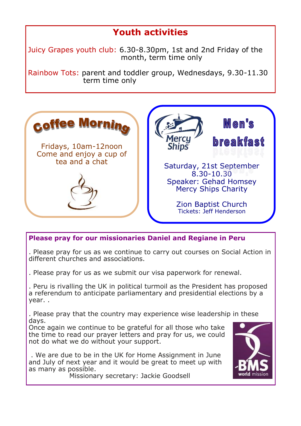## **Youth activities**

Juicy Grapes youth club: 6.30-8.30pm, 1st and 2nd Friday of the month, term time only

Rainbow Tots: parent and toddler group, Wednesdays, 9.30-11.30 term time only



#### **Please pray for our missionaries Daniel and Regiane in Peru**

. Please pray for us as we continue to carry out courses on Social Action in different churches and associations.

. Please pray for us as we submit our visa paperwork for renewal.

. Peru is rivalling the UK in political turmoil as the President has proposed a referendum to anticipate parliamentary and presidential elections by a year. .

. Please pray that the country may experience wise leadership in these days.

Once again we continue to be grateful for all those who take the time to read our prayer letters and pray for us, we could not do what we do without your support.

. We are due to be in the UK for Home Assignment in June and July of next year and it would be great to meet up with as many as possible.

Missionary secretary: Jackie Goodsell

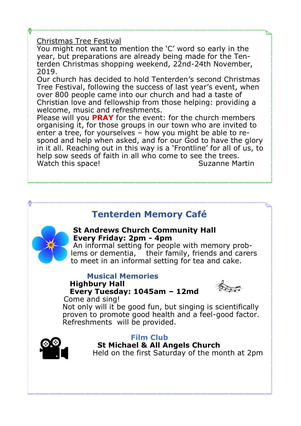#### Christmas Tree Festival

You might not want to mention the 'C' word so early in the year, but preparations are already being made for the Tenterden Christmas shopping weekend, 22nd-24th November, 2019.

Our church has decided to hold Tenterden's second Christmas Tree Festival, following the success of last year's event, when over 800 people came into our church and had a taste of Christian love and fellowship from those helping: providing a welcome, music and refreshments.

Please will you **PRAY** for the event: for the church members organising it, for those groups in our town who are invited to enter a tree, for yourselves – how you might be able to respond and help when asked, and for our God to have the glory in it all. Reaching out in this way is a 'Frontline' for all of us, to help sow seeds of faith in all who come to see the trees. Watch this space! Suzanne Martin

## **Tenterden Memory Café**



#### **St Andrews Church Community Hall Every Friday: 2pm - 4pm**

An informal setting for people with memory problems or dementia, their family, friends and carers to meet in an informal setting for tea and cake.

#### **Musical Memories Highbury Hall Every Tuesday: 1045am – 12md**



Come and sing!

Not only will it be good fun, but singing is scientifically proven to promote good health and a feel-good factor. Refreshments will be provided.



#### **Film Club**

 **St Michael & All Angels Church** Held on the first Saturday of the month at 2pm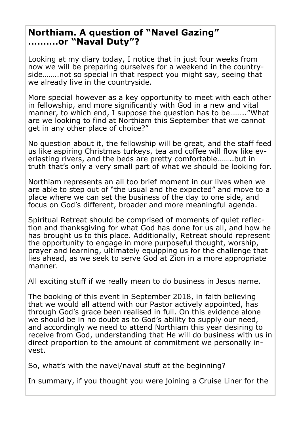### **Northiam. A question of "Navel Gazing" ……….or "Naval Duty"?**

Looking at my diary today, I notice that in just four weeks from now we will be preparing ourselves for a weekend in the countryside……..not so special in that respect you might say, seeing that we already live in the countryside.

More special however as a key opportunity to meet with each other in fellowship, and more significantly with God in a new and vital manner, to which end, I suppose the question has to be…….."What are we looking to find at Northiam this September that we cannot get in any other place of choice?"

No question about it, the fellowship will be great, and the staff feed us like aspiring Christmas turkeys, tea and coffee will flow like everlasting rivers, and the beds are pretty comfortable……..but in truth that's only a very small part of what we should be looking for.

Northiam represents an all too brief moment in our lives when we are able to step out of "the usual and the expected" and move to a place where we can set the business of the day to one side, and focus on God's different, broader and more meaningful agenda.

Spiritual Retreat should be comprised of moments of quiet reflection and thanksgiving for what God has done for us all, and how he has brought us to this place. Additionally, Retreat should represent the opportunity to engage in more purposeful thought, worship, prayer and learning, ultimately equipping us for the challenge that lies ahead, as we seek to serve God at Zion in a more appropriate manner.

All exciting stuff if we really mean to do business in Jesus name.

The booking of this event in September 2018, in faith believing that we would all attend with our Pastor actively appointed, has through God's grace been realised in full. On this evidence alone we should be in no doubt as to God's ability to supply our need, and accordingly we need to attend Northiam this year desiring to receive from God, understanding that He will do business with us in direct proportion to the amount of commitment we personally invest.

So, what's with the navel/naval stuff at the beginning?

In summary, if you thought you were joining a Cruise Liner for the